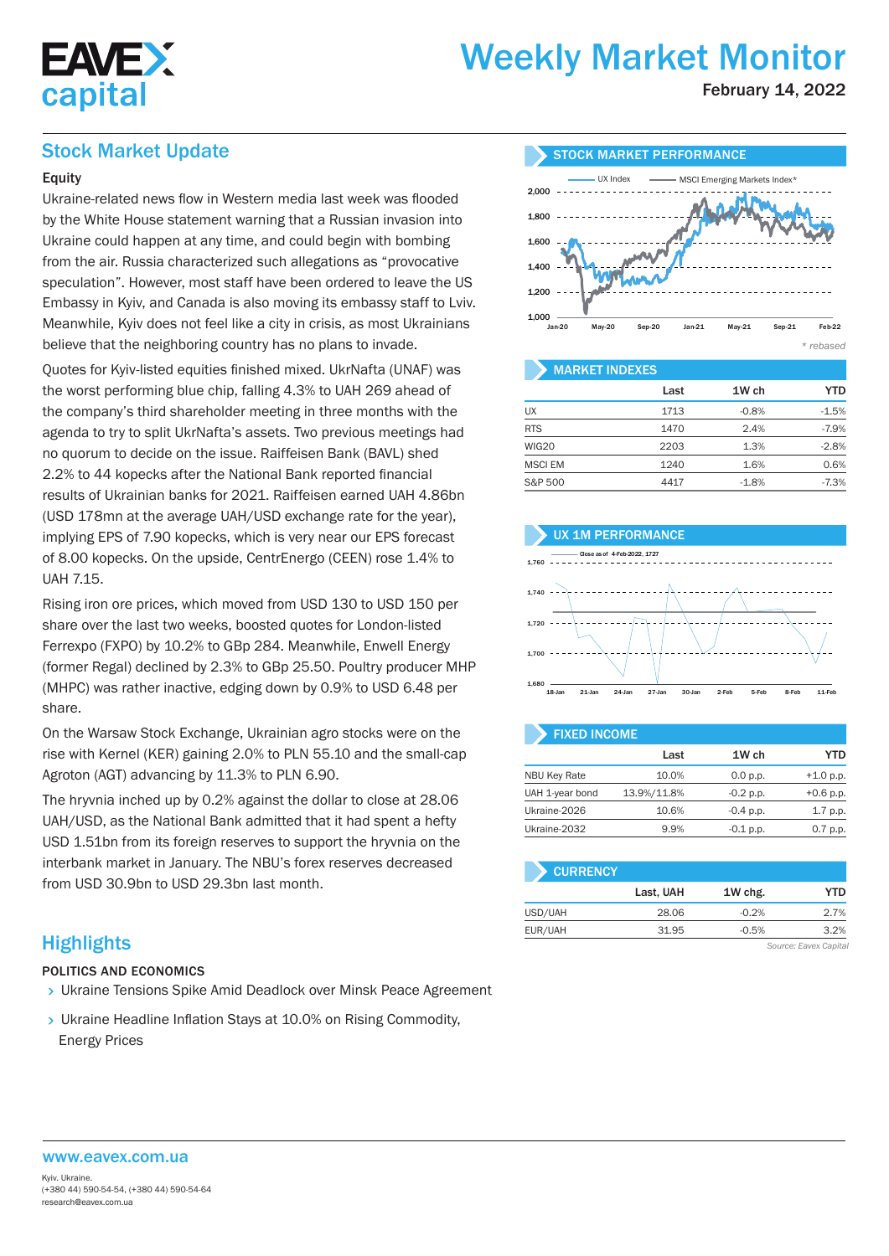

# Weekly Market Monitor

February 14, 2022

## Stock Market Update

#### Equity

Ukraine-related news flow in Western media last week was flooded by the White House statement warning that a Russian invasion into Ukraine could happen at any time, and could begin with bombing from the air. Russia characterized such allegations as "provocative speculation". However, most staff have been ordered to leave the US Embassy in Kyiv, and Canada is also moving its embassy staff to Lviv. Meanwhile, Kyiv does not feel like a city in crisis, as most Ukrainians believe that the neighboring country has no plans to invade.

Quotes for Kyiv-listed equities finished mixed. UkrNafta (UNAF) was the worst performing blue chip, falling 4.3% to UAH 269 ahead of the company's third shareholder meeting in three months with the agenda to try to split UkrNafta's assets. Two previous meetings had no quorum to decide on the issue. Raiffeisen Bank (BAVL) shed 2.2% to 44 kopecks after the National Bank reported financial results of Ukrainian banks for 2021. Raiffeisen earned UAH 4.86bn (USD 178mn at the average UAH/USD exchange rate for the year), implying EPS of 7.90 kopecks, which is very near our EPS forecast of 8.00 kopecks. On the upside, CentrEnergo (CEEN) rose 1.4% to UAH 7.15.

Rising iron ore prices, which moved from USD 130 to USD 150 per share over the last two weeks, boosted quotes for London-listed Ferrexpo (FXPO) by 10.2% to GBp 284. Meanwhile, Enwell Energy (former Regal) declined by 2.3% to GBp 25.50. Poultry producer MHP (MHPC) was rather inactive, edging down by 0.9% to USD 6.48 per share.

On the Warsaw Stock Exchange, Ukrainian agro stocks were on the rise with Kernel (KER) gaining 2.0% to PLN 55.10 and the small-cap Agroton (AGT) advancing by 11.3% to PLN 6.90.

The hryvnia inched up by 0.2% against the dollar to close at 28.06 UAH/USD, as the National Bank admitted that it had spent a hefty USD 1.51bn from its foreign reserves to support the hryvnia on the interbank market in January. The NBU's forex reserves decreased from USD 30.9bn to USD 29.3bn last month.

## **Highlights**

#### POLITICS AND ECONOMICS

- **> Ukraine Tensions Spike Amid Deadlock over Minsk Peace Agreement**
- > Ukraine Headline Inflation Stays at 10.0% on Rising Commodity, Energy Prices



#### MARKET INDEXES

|                | Last | 1W ch   | YTD     |
|----------------|------|---------|---------|
| UX             | 1713 | $-0.8%$ | $-1.5%$ |
| <b>RTS</b>     | 1470 | 2.4%    | $-7.9%$ |
| WIG20          | 2203 | 1.3%    | $-2.8%$ |
| <b>MSCI EM</b> | 1240 | 1.6%    | 0.6%    |
| S&P 500        | 4417 | $-1.8%$ | $-7.3%$ |

#### UX 1M PERFORMANCE





| <b>FIXED INCOME</b> |             |             |             |  |  |  |  |  |  |  |
|---------------------|-------------|-------------|-------------|--|--|--|--|--|--|--|
|                     | Last        | 1W ch       | YTD         |  |  |  |  |  |  |  |
| <b>NBU Key Rate</b> | 10.0%       | 0.0 p.p.    | $+1.0 p.p.$ |  |  |  |  |  |  |  |
| UAH 1-year bond     | 13.9%/11.8% | $-0.2 p.p.$ | $+0.6$ p.p. |  |  |  |  |  |  |  |
| Ukraine-2026        | 10.6%       | $-0.4$ p.p. | $1.7$ p.p.  |  |  |  |  |  |  |  |
| Ukraine-2032        | 9.9%        | $-0.1$ p.p. | $0.7$ p.p.  |  |  |  |  |  |  |  |

| <b>CURRENCY</b> |           |         |      |
|-----------------|-----------|---------|------|
|                 | Last, UAH | 1W chg. | YTD  |
| USD/UAH         | 28.06     | $-0.2%$ | 2.7% |
| EUR/UAH         | 31.95     | $-0.5%$ | 3.2% |

*Source: Eavex Capital*

## www.eavex.com.ua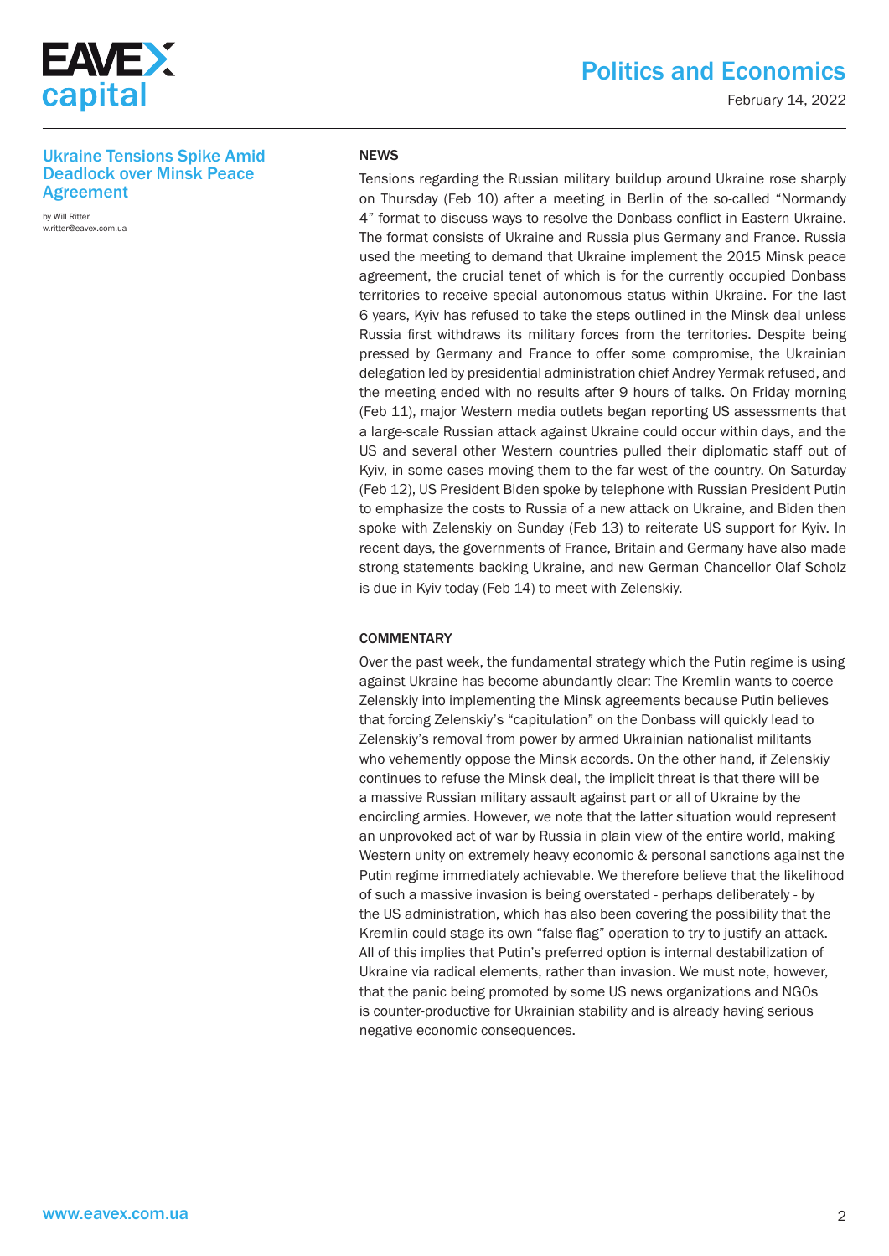

February 14, 2022

#### Ukraine Tensions Spike Amid Deadlock over Minsk Peace Agreement

by Will Ritter w.ritter@eavex.com.ua

#### NEWS

Tensions regarding the Russian military buildup around Ukraine rose sharply on Thursday (Feb 10) after a meeting in Berlin of the so-called "Normandy 4" format to discuss ways to resolve the Donbass conflict in Eastern Ukraine. The format consists of Ukraine and Russia plus Germany and France. Russia used the meeting to demand that Ukraine implement the 2015 Minsk peace agreement, the crucial tenet of which is for the currently occupied Donbass territories to receive special autonomous status within Ukraine. For the last 6 years, Kyiv has refused to take the steps outlined in the Minsk deal unless Russia first withdraws its military forces from the territories. Despite being pressed by Germany and France to offer some compromise, the Ukrainian delegation led by presidential administration chief Andrey Yermak refused, and the meeting ended with no results after 9 hours of talks. On Friday morning (Feb 11), major Western media outlets began reporting US assessments that a large-scale Russian attack against Ukraine could occur within days, and the US and several other Western countries pulled their diplomatic staff out of Kyiv, in some cases moving them to the far west of the country. On Saturday (Feb 12), US President Biden spoke by telephone with Russian President Putin to emphasize the costs to Russia of a new attack on Ukraine, and Biden then spoke with Zelenskiy on Sunday (Feb 13) to reiterate US support for Kyiv. In recent days, the governments of France, Britain and Germany have also made strong statements backing Ukraine, and new German Chancellor Olaf Scholz is due in Kyiv today (Feb 14) to meet with Zelenskiy.

#### **COMMENTARY**

Over the past week, the fundamental strategy which the Putin regime is using against Ukraine has become abundantly clear: The Kremlin wants to coerce Zelenskiy into implementing the Minsk agreements because Putin believes that forcing Zelenskiy's "capitulation" on the Donbass will quickly lead to Zelenskiy's removal from power by armed Ukrainian nationalist militants who vehemently oppose the Minsk accords. On the other hand, if Zelenskiy continues to refuse the Minsk deal, the implicit threat is that there will be a massive Russian military assault against part or all of Ukraine by the encircling armies. However, we note that the latter situation would represent an unprovoked act of war by Russia in plain view of the entire world, making Western unity on extremely heavy economic & personal sanctions against the Putin regime immediately achievable. We therefore believe that the likelihood of such a massive invasion is being overstated - perhaps deliberately - by the US administration, which has also been covering the possibility that the Kremlin could stage its own "false flag" operation to try to justify an attack. All of this implies that Putin's preferred option is internal destabilization of Ukraine via radical elements, rather than invasion. We must note, however, that the panic being promoted by some US news organizations and NGOs is counter-productive for Ukrainian stability and is already having serious negative economic consequences.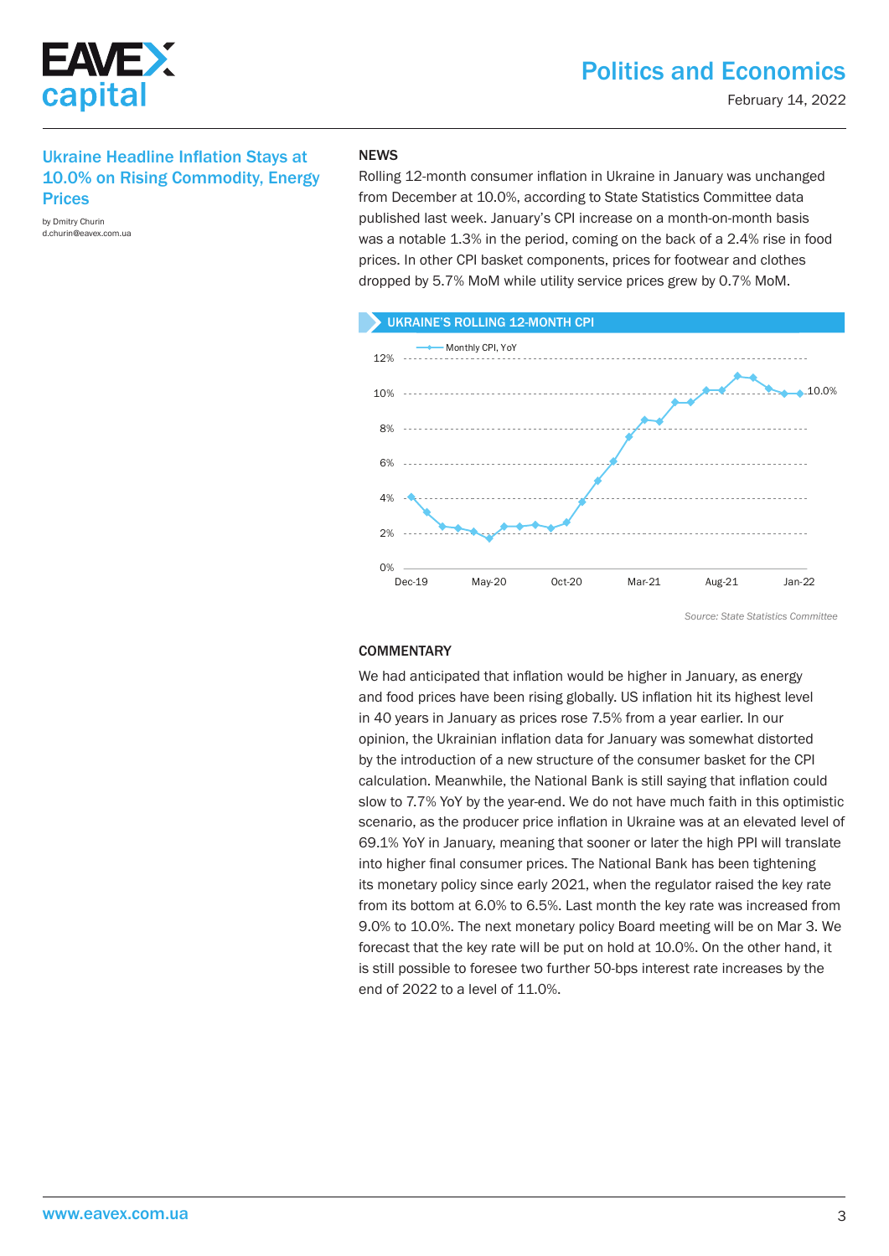

## Ukraine Headline Inflation Stays at 10.0% on Rising Commodity, Energy Prices

by Dmitry Churin d.churin@eavex.com.ua

#### **NEWS**

Rolling 12-month consumer inflation in Ukraine in January was unchanged from December at 10.0%, according to State Statistics Committee data published last week. January's CPI increase on a month-on-month basis was a notable 1.3% in the period, coming on the back of a 2.4% rise in food prices. In other CPI basket components, prices for footwear and clothes dropped by 5.7% MoM while utility service prices grew by 0.7% MoM.



#### **COMMENTARY**

We had anticipated that inflation would be higher in January, as energy and food prices have been rising globally. US inflation hit its highest level in 40 years in January as prices rose 7.5% from a year earlier. In our opinion, the Ukrainian inflation data for January was somewhat distorted by the introduction of a new structure of the consumer basket for the CPI calculation. Meanwhile, the National Bank is still saying that inflation could slow to 7.7% YoY by the year-end. We do not have much faith in this optimistic scenario, as the producer price inflation in Ukraine was at an elevated level of 69.1% YoY in January, meaning that sooner or later the high PPI will translate into higher final consumer prices. The National Bank has been tightening its monetary policy since early 2021, when the regulator raised the key rate from its bottom at 6.0% to 6.5%. Last month the key rate was increased from 9.0% to 10.0%. The next monetary policy Board meeting will be on Mar 3. We forecast that the key rate will be put on hold at 10.0%. On the other hand, it is still possible to foresee two further 50-bps interest rate increases by the end of 2022 to a level of 11.0%.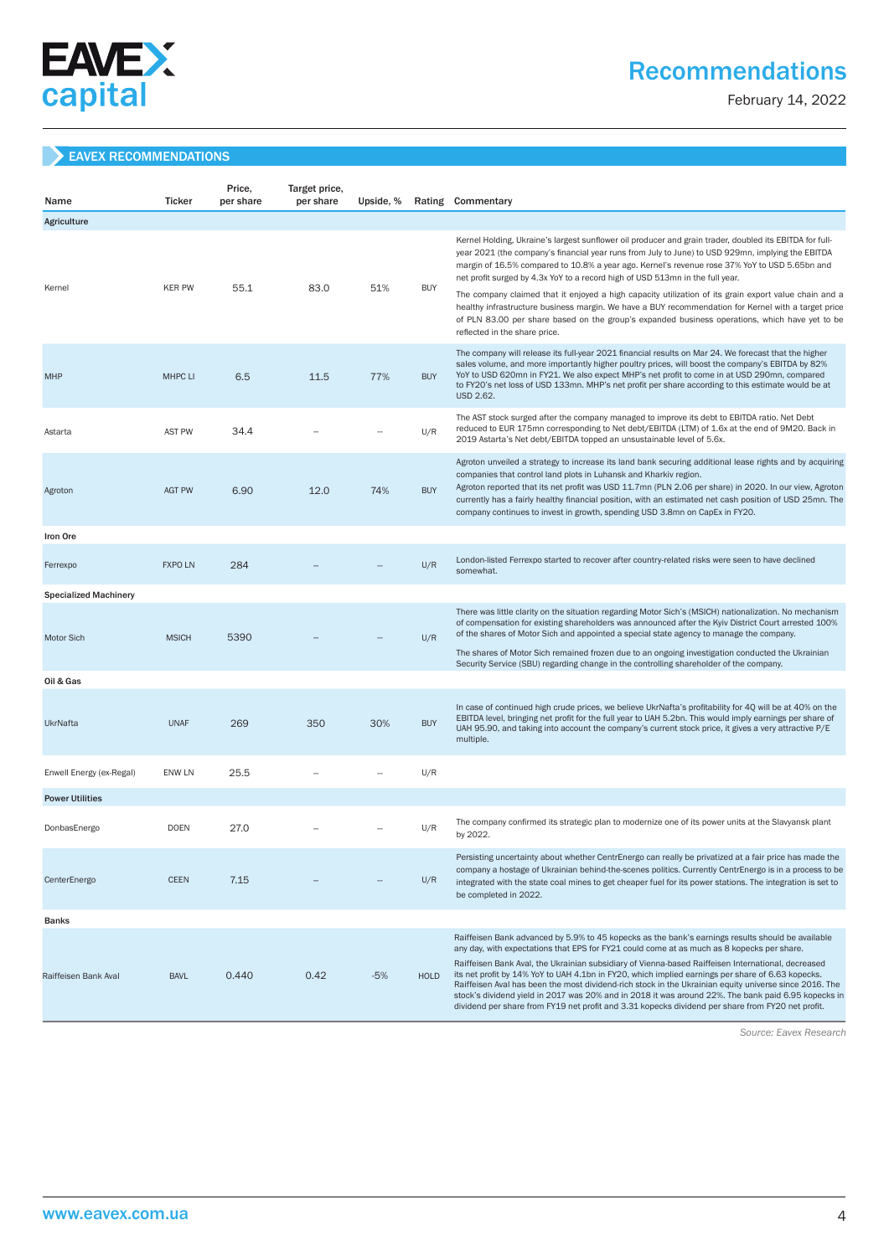

## Recommendations

February 14, 2022

### EAVEX RECOMMENDATIONS

| Name                         | <b>Ticker</b>  | Price,<br>per share | Target price,<br>per share | Upside, % |             | Rating Commentary                                                                                                                                                                                                                                                                                                                                                                                                                                                                                                                                                                                                                                                                                                                |
|------------------------------|----------------|---------------------|----------------------------|-----------|-------------|----------------------------------------------------------------------------------------------------------------------------------------------------------------------------------------------------------------------------------------------------------------------------------------------------------------------------------------------------------------------------------------------------------------------------------------------------------------------------------------------------------------------------------------------------------------------------------------------------------------------------------------------------------------------------------------------------------------------------------|
| Agriculture                  |                |                     |                            |           |             |                                                                                                                                                                                                                                                                                                                                                                                                                                                                                                                                                                                                                                                                                                                                  |
| Kernel                       | <b>KER PW</b>  | 55.1                | 83.0                       | 51%       | <b>BUY</b>  | Kernel Holding, Ukraine's largest sunflower oil producer and grain trader, doubled its EBITDA for full-<br>year 2021 (the company's financial year runs from July to June) to USD 929mn, implying the EBITDA<br>margin of 16.5% compared to 10.8% a year ago. Kernel's revenue rose 37% YoY to USD 5.65bn and<br>net profit surged by 4.3x YoY to a record high of USD 513mn in the full year.                                                                                                                                                                                                                                                                                                                                   |
|                              |                |                     |                            |           |             | The company claimed that it enjoyed a high capacity utilization of its grain export value chain and a<br>healthy infrastructure business margin. We have a BUY recommendation for Kernel with a target price<br>of PLN 83.00 per share based on the group's expanded business operations, which have yet to be<br>reflected in the share price.                                                                                                                                                                                                                                                                                                                                                                                  |
| <b>MHP</b>                   | <b>MHPC LI</b> | 6.5                 | 11.5                       | 77%       | <b>BUY</b>  | The company will release its full-year 2021 financial results on Mar 24. We forecast that the higher<br>sales volume, and more importantly higher poultry prices, will boost the company's EBITDA by 82%<br>YoY to USD 620mn in FY21. We also expect MHP's net profit to come in at USD 290mn, compared<br>to FY20's net loss of USD 133mn. MHP's net profit per share according to this estimate would be at<br>USD 2.62.                                                                                                                                                                                                                                                                                                       |
| Astarta                      | <b>AST PW</b>  | 34.4                |                            |           | U/R         | The AST stock surged after the company managed to improve its debt to EBITDA ratio. Net Debt<br>reduced to EUR 175mn corresponding to Net debt/EBITDA (LTM) of 1.6x at the end of 9M20. Back in<br>2019 Astarta's Net debt/EBITDA topped an unsustainable level of 5.6x.                                                                                                                                                                                                                                                                                                                                                                                                                                                         |
| Agroton                      | <b>AGT PW</b>  | 6.90                | 12.0                       | 74%       | <b>BUY</b>  | Agroton unveiled a strategy to increase its land bank securing additional lease rights and by acquiring<br>companies that control land plots in Luhansk and Kharkiv region.<br>Agroton reported that its net profit was USD 11.7mn (PLN 2.06 per share) in 2020. In our view, Agroton<br>currently has a fairly healthy financial position, with an estimated net cash position of USD 25mn. The<br>company continues to invest in growth, spending USD 3.8mn on CapEx in FY20.                                                                                                                                                                                                                                                  |
| Iron Ore                     |                |                     |                            |           |             |                                                                                                                                                                                                                                                                                                                                                                                                                                                                                                                                                                                                                                                                                                                                  |
| Ferrexpo                     | <b>FXPO LN</b> | 284                 |                            |           | U/R         | London-listed Ferrexpo started to recover after country-related risks were seen to have declined<br>somewhat.                                                                                                                                                                                                                                                                                                                                                                                                                                                                                                                                                                                                                    |
| <b>Specialized Machinery</b> |                |                     |                            |           |             |                                                                                                                                                                                                                                                                                                                                                                                                                                                                                                                                                                                                                                                                                                                                  |
| <b>Motor Sich</b>            | <b>MSICH</b>   | 5390                |                            |           | U/R         | There was little clarity on the situation regarding Motor Sich's (MSICH) nationalization. No mechanism<br>of compensation for existing shareholders was announced after the Kyiv District Court arrested 100%<br>of the shares of Motor Sich and appointed a special state agency to manage the company.<br>The shares of Motor Sich remained frozen due to an ongoing investigation conducted the Ukrainian                                                                                                                                                                                                                                                                                                                     |
|                              |                |                     |                            |           |             | Security Service (SBU) regarding change in the controlling shareholder of the company.                                                                                                                                                                                                                                                                                                                                                                                                                                                                                                                                                                                                                                           |
| Oil & Gas                    |                |                     |                            |           |             |                                                                                                                                                                                                                                                                                                                                                                                                                                                                                                                                                                                                                                                                                                                                  |
| UkrNafta                     | <b>UNAF</b>    | 269                 | 350                        | 30%       | <b>BUY</b>  | In case of continued high crude prices, we believe UkrNafta's profitability for 4Q will be at 40% on the<br>EBITDA level, bringing net profit for the full year to UAH 5.2bn. This would imply earnings per share of<br>UAH 95.90, and taking into account the company's current stock price, it gives a very attractive P/E<br>multiple.                                                                                                                                                                                                                                                                                                                                                                                        |
| Enwell Energy (ex-Regal)     | ENW LN         | 25.5                |                            |           | U/R         |                                                                                                                                                                                                                                                                                                                                                                                                                                                                                                                                                                                                                                                                                                                                  |
| <b>Power Utilities</b>       |                |                     |                            |           |             |                                                                                                                                                                                                                                                                                                                                                                                                                                                                                                                                                                                                                                                                                                                                  |
| DonbasEnergo                 | <b>DOEN</b>    | 27.0                |                            |           | U/R         | The company confirmed its strategic plan to modernize one of its power units at the Slavyansk plant<br>by 2022.                                                                                                                                                                                                                                                                                                                                                                                                                                                                                                                                                                                                                  |
| CenterEnergo                 | <b>CEEN</b>    | 7.15                |                            |           | U/R         | Persisting uncertainty about whether CentrEnergo can really be privatized at a fair price has made the<br>company a hostage of Ukrainian behind-the-scenes politics. Currently CentrEnergo is in a process to be<br>integrated with the state coal mines to get cheaper fuel for its power stations. The integration is set to<br>be completed in 2022.                                                                                                                                                                                                                                                                                                                                                                          |
| <b>Banks</b>                 |                |                     |                            |           |             |                                                                                                                                                                                                                                                                                                                                                                                                                                                                                                                                                                                                                                                                                                                                  |
| Raiffeisen Bank Aval         | <b>BAVL</b>    | 0.440               | 0.42                       | $-5%$     | <b>HOLD</b> | Raiffeisen Bank advanced by 5.9% to 45 kopecks as the bank's earnings results should be available<br>any day, with expectations that EPS for FY21 could come at as much as 8 kopecks per share.<br>Raiffeisen Bank Aval, the Ukrainian subsidiary of Vienna-based Raiffeisen International, decreased<br>its net profit by 14% YoY to UAH 4.1bn in FY20, which implied earnings per share of 6.63 kopecks.<br>Raiffeisen Aval has been the most dividend-rich stock in the Ukrainian equity universe since 2016. The<br>stock's dividend yield in 2017 was 20% and in 2018 it was around 22%. The bank paid 6.95 kopecks in<br>dividend per share from FY19 net profit and 3.31 kopecks dividend per share from FY20 net profit. |

 *Source: Eavex Research*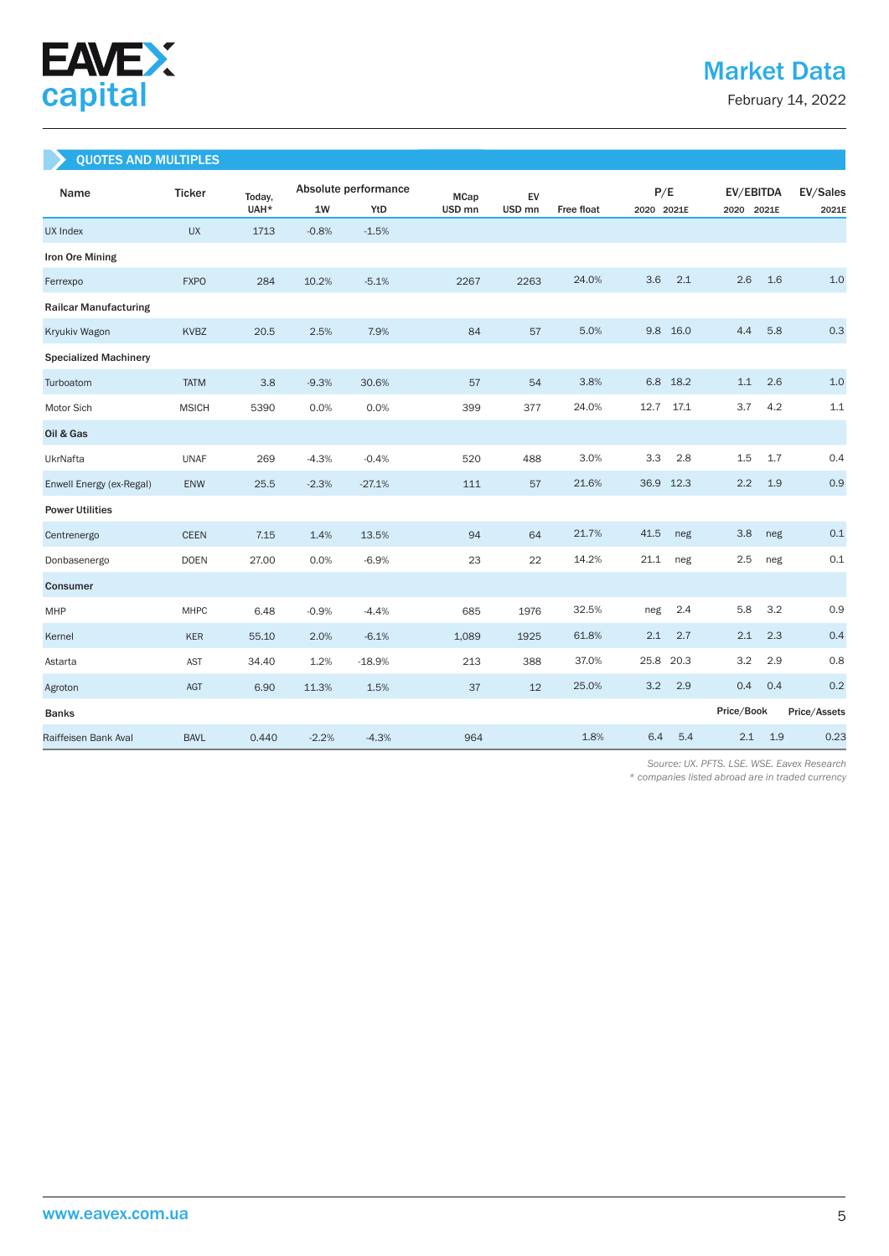

February 14, 2022

## QUOTES AND MULTIPLES

| Name                         | <b>Ticker</b> | Today, |         | Absolute performance | <b>MCap</b>       | EV                |                   | P/E          | EV/EBITDA  | EV/Sales     |
|------------------------------|---------------|--------|---------|----------------------|-------------------|-------------------|-------------------|--------------|------------|--------------|
|                              |               | UAH*   | 1W      | YtD                  | USD <sub>mn</sub> | USD <sub>mn</sub> | <b>Free float</b> | 2020 2021E   | 2020 2021E | 2021E        |
| <b>UX Index</b>              | <b>UX</b>     | 1713   | $-0.8%$ | $-1.5%$              |                   |                   |                   |              |            |              |
| Iron Ore Mining              |               |        |         |                      |                   |                   |                   |              |            |              |
| Ferrexpo                     | <b>FXPO</b>   | 284    | 10.2%   | $-5.1%$              | 2267              | 2263              | 24.0%             | 3.6<br>2.1   | 2.6<br>1.6 | 1.0          |
| <b>Railcar Manufacturing</b> |               |        |         |                      |                   |                   |                   |              |            |              |
| Kryukiv Wagon                | <b>KVBZ</b>   | 20.5   | 2.5%    | 7.9%                 | 84                | 57                | 5.0%              | 9.8<br>16.0  | 4.4<br>5.8 | 0.3          |
| <b>Specialized Machinery</b> |               |        |         |                      |                   |                   |                   |              |            |              |
| Turboatom                    | <b>TATM</b>   | 3.8    | $-9.3%$ | 30.6%                | 57                | 54                | 3.8%              | 6.8<br>18.2  | 2.6<br>1.1 | 1.0          |
| Motor Sich                   | <b>MSICH</b>  | 5390   | 0.0%    | 0.0%                 | 399               | 377               | 24.0%             | 12.7<br>17.1 | 3.7<br>4.2 | 1.1          |
| Oil & Gas                    |               |        |         |                      |                   |                   |                   |              |            |              |
| UkrNafta                     | <b>UNAF</b>   | 269    | $-4.3%$ | $-0.4%$              | 520               | 488               | 3.0%              | 3.3<br>2.8   | 1.5<br>1.7 | 0.4          |
| Enwell Energy (ex-Regal)     | ENW           | 25.5   | $-2.3%$ | $-27.1%$             | 111               | 57                | 21.6%             | 36.9<br>12.3 | 2.2<br>1.9 | 0.9          |
| <b>Power Utilities</b>       |               |        |         |                      |                   |                   |                   |              |            |              |
| Centrenergo                  | <b>CEEN</b>   | 7.15   | 1.4%    | 13.5%                | 94                | 64                | 21.7%             | 41.5<br>neg  | 3.8<br>neg | 0.1          |
| Donbasenergo                 | <b>DOEN</b>   | 27.00  | 0.0%    | $-6.9%$              | 23                | 22                | 14.2%             | 21.1<br>neg  | 2.5<br>neg | 0.1          |
| Consumer                     |               |        |         |                      |                   |                   |                   |              |            |              |
| MHP                          | <b>MHPC</b>   | 6.48   | $-0.9%$ | $-4.4%$              | 685               | 1976              | 32.5%             | 2.4<br>neg   | 5.8<br>3.2 | 0.9          |
| Kernel                       | <b>KER</b>    | 55.10  | 2.0%    | $-6.1%$              | 1,089             | 1925              | 61.8%             | 2.1<br>2.7   | 2.1<br>2.3 | 0.4          |
| Astarta                      | <b>AST</b>    | 34.40  | 1.2%    | $-18.9%$             | 213               | 388               | 37.0%             | 25.8<br>20.3 | 3.2<br>2.9 | 0.8          |
| Agroton                      | AGT           | 6.90   | 11.3%   | 1.5%                 | 37                | 12                | 25.0%             | 3.2<br>2.9   | 0.4<br>0.4 | 0.2          |
| <b>Banks</b>                 |               |        |         |                      |                   |                   |                   |              | Price/Book | Price/Assets |
| Raiffeisen Bank Aval         | <b>BAVL</b>   | 0.440  | $-2.2%$ | $-4.3%$              | 964               |                   | 1.8%              | 6.4<br>5.4   | 2.1<br>1.9 | 0.23         |

 *Source: UX. PFTS. LSE. WSE. Eavex Research* 

*\* companies listed abroad are in traded currency*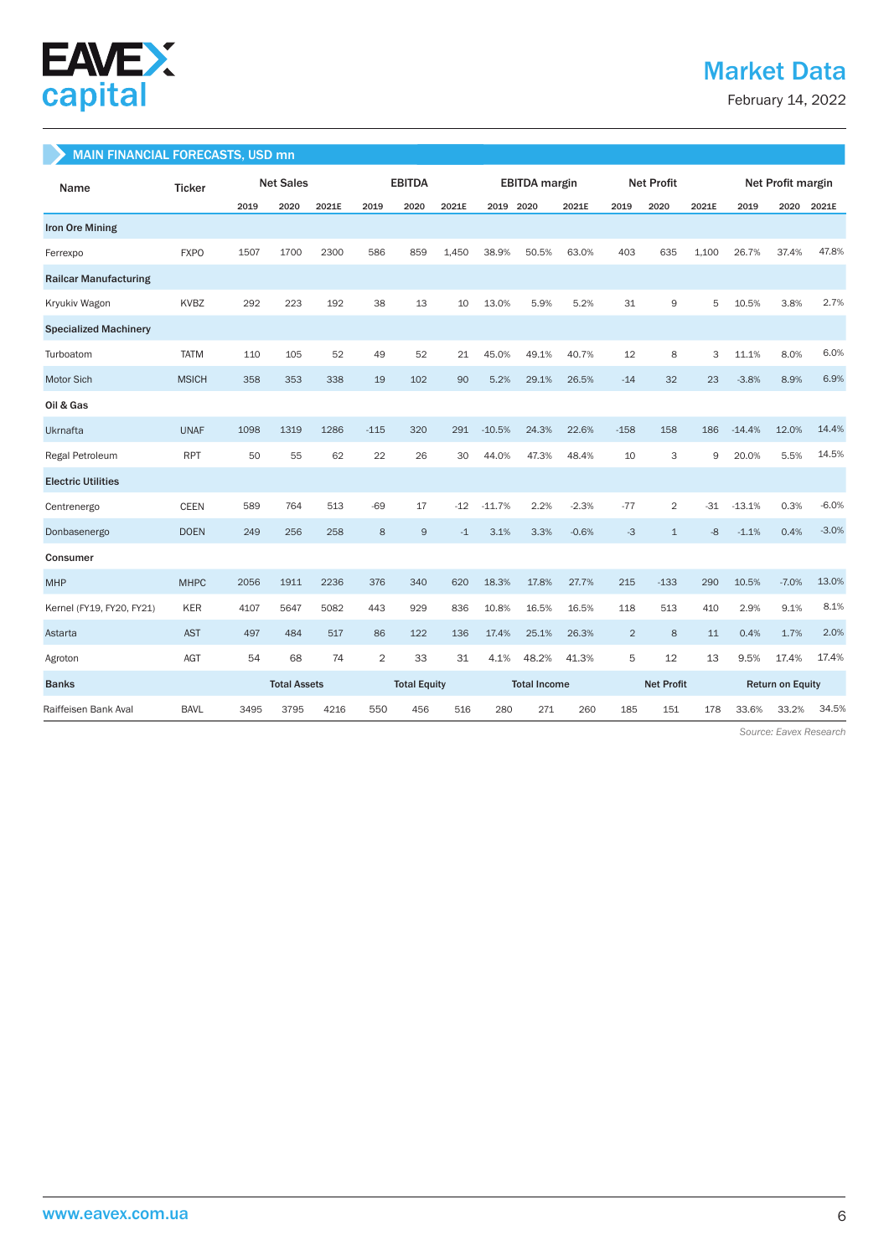

## Market Data

February 14, 2022

#### MAIN FINANCIAL FORECASTS, USD mn

| Name                         | <b>Ticker</b> |      | <b>Net Sales</b>    |       |                     | <b>EBITDA</b> |                     | <b>EBITDA</b> margin |       | <b>Net Profit</b> |                |                | Net Profit margin       |          |         |         |
|------------------------------|---------------|------|---------------------|-------|---------------------|---------------|---------------------|----------------------|-------|-------------------|----------------|----------------|-------------------------|----------|---------|---------|
|                              |               | 2019 | 2020                | 2021E | 2019                | 2020          | 2021E               | 2019 2020            |       | 2021E             | 2019           | 2020           | 2021E                   | 2019     | 2020    | 2021E   |
| <b>Iron Ore Mining</b>       |               |      |                     |       |                     |               |                     |                      |       |                   |                |                |                         |          |         |         |
| Ferrexpo                     | <b>FXPO</b>   | 1507 | 1700                | 2300  | 586                 | 859           | 1.450               | 38.9%                | 50.5% | 63.0%             | 403            | 635            | 1.100                   | 26.7%    | 37.4%   | 47.8%   |
| <b>Railcar Manufacturing</b> |               |      |                     |       |                     |               |                     |                      |       |                   |                |                |                         |          |         |         |
| Kryukiv Wagon                | <b>KVBZ</b>   | 292  | 223                 | 192   | 38                  | 13            | 10                  | 13.0%                | 5.9%  | 5.2%              | 31             | 9              | 5                       | 10.5%    | 3.8%    | 2.7%    |
| <b>Specialized Machinery</b> |               |      |                     |       |                     |               |                     |                      |       |                   |                |                |                         |          |         |         |
| Turboatom                    | <b>TATM</b>   | 110  | 105                 | 52    | 49                  | 52            | 21                  | 45.0%                | 49.1% | 40.7%             | 12             | 8              | 3                       | 11.1%    | 8.0%    | 6.0%    |
| Motor Sich                   | <b>MSICH</b>  | 358  | 353                 | 338   | 19                  | 102           | 90                  | 5.2%                 | 29.1% | 26.5%             | $-14$          | 32             | 23                      | $-3.8%$  | 8.9%    | 6.9%    |
| Oil & Gas                    |               |      |                     |       |                     |               |                     |                      |       |                   |                |                |                         |          |         |         |
| Ukrnafta                     | <b>UNAF</b>   | 1098 | 1319                | 1286  | $-115$              | 320           | 291                 | $-10.5%$             | 24.3% | 22.6%             | $-158$         | 158            | 186                     | $-14.4%$ | 12.0%   | 14.4%   |
| Regal Petroleum              | <b>RPT</b>    | 50   | 55                  | 62    | 22                  | 26            | 30                  | 44.0%                | 47.3% | 48.4%             | 10             | 3              | 9                       | 20.0%    | 5.5%    | 14.5%   |
| <b>Electric Utilities</b>    |               |      |                     |       |                     |               |                     |                      |       |                   |                |                |                         |          |         |         |
| Centrenergo                  | <b>CEEN</b>   | 589  | 764                 | 513   | $-69$               | 17            | $-12$               | $-11.7%$             | 2.2%  | $-2.3%$           | $-77$          | $\overline{2}$ | $-31$                   | $-13.1%$ | 0.3%    | $-6.0%$ |
| Donbasenergo                 | <b>DOEN</b>   | 249  | 256                 | 258   | 8                   | $\mathsf g$   | $-1$                | 3.1%                 | 3.3%  | $-0.6%$           | $-3$           | $\mathbf{1}$   | $-8$                    | $-1.1%$  | 0.4%    | $-3.0%$ |
| Consumer                     |               |      |                     |       |                     |               |                     |                      |       |                   |                |                |                         |          |         |         |
| <b>MHP</b>                   | <b>MHPC</b>   | 2056 | 1911                | 2236  | 376                 | 340           | 620                 | 18.3%                | 17.8% | 27.7%             | 215            | $-133$         | 290                     | 10.5%    | $-7.0%$ | 13.0%   |
| Kernel (FY19, FY20, FY21)    | <b>KER</b>    | 4107 | 5647                | 5082  | 443                 | 929           | 836                 | 10.8%                | 16.5% | 16.5%             | 118            | 513            | 410                     | 2.9%     | 9.1%    | 8.1%    |
| Astarta                      | <b>AST</b>    | 497  | 484                 | 517   | 86                  | 122           | 136                 | 17.4%                | 25.1% | 26.3%             | $\overline{2}$ | 8              | 11                      | 0.4%     | 1.7%    | 2.0%    |
| Agroton                      | AGT           | 54   | 68                  | 74    | $\overline{2}$      | 33            | 31                  | 4.1%                 | 48.2% | 41.3%             | 5              | 12             | 13                      | 9.5%     | 17.4%   | 17.4%   |
| <b>Banks</b>                 |               |      | <b>Total Assets</b> |       | <b>Total Equity</b> |               | <b>Total Income</b> |                      |       | <b>Net Profit</b> |                |                | <b>Return on Equity</b> |          |         |         |
| Raiffeisen Bank Aval         | <b>BAVL</b>   | 3495 | 3795                | 4216  | 550                 | 456           | 516                 | 280                  | 271   | 260               | 185            | 151            | 178                     | 33.6%    | 33.2%   | 34.5%   |

 *Source: Eavex Research*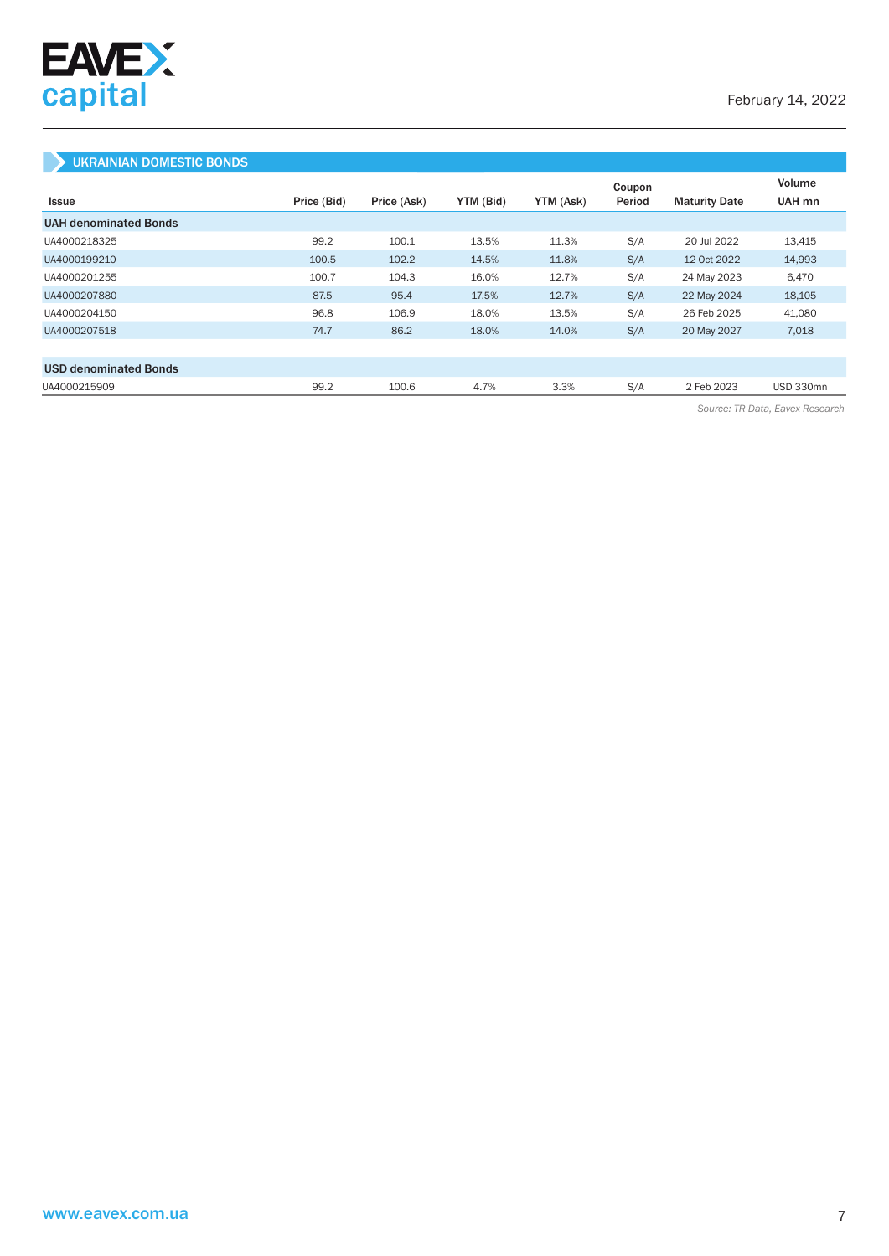

## UKRAINIAN DOMESTIC BONDS

|                              |             |             |           |           | Coupon |                      | Volume           |
|------------------------------|-------------|-------------|-----------|-----------|--------|----------------------|------------------|
| <b>Issue</b>                 | Price (Bid) | Price (Ask) | YTM (Bid) | YTM (Ask) | Period | <b>Maturity Date</b> | UAH mn           |
| <b>UAH denominated Bonds</b> |             |             |           |           |        |                      |                  |
| UA4000218325                 | 99.2        | 100.1       | 13.5%     | 11.3%     | S/A    | 20 Jul 2022          | 13,415           |
| UA4000199210                 | 100.5       | 102.2       | 14.5%     | 11.8%     | S/A    | 12 Oct 2022          | 14,993           |
| UA4000201255                 | 100.7       | 104.3       | 16.0%     | 12.7%     | S/A    | 24 May 2023          | 6.470            |
| UA4000207880                 | 87.5        | 95.4        | 17.5%     | 12.7%     | S/A    | 22 May 2024          | 18,105           |
| UA4000204150                 | 96.8        | 106.9       | 18.0%     | 13.5%     | S/A    | 26 Feb 2025          | 41,080           |
| UA4000207518                 | 74.7        | 86.2        | 18.0%     | 14.0%     | S/A    | 20 May 2027          | 7,018            |
|                              |             |             |           |           |        |                      |                  |
| <b>USD denominated Bonds</b> |             |             |           |           |        |                      |                  |
| UA4000215909                 | 99.2        | 100.6       | 4.7%      | 3.3%      | S/A    | 2 Feb 2023           | <b>USD 330mn</b> |

*Source: TR Data, Eavex Research*